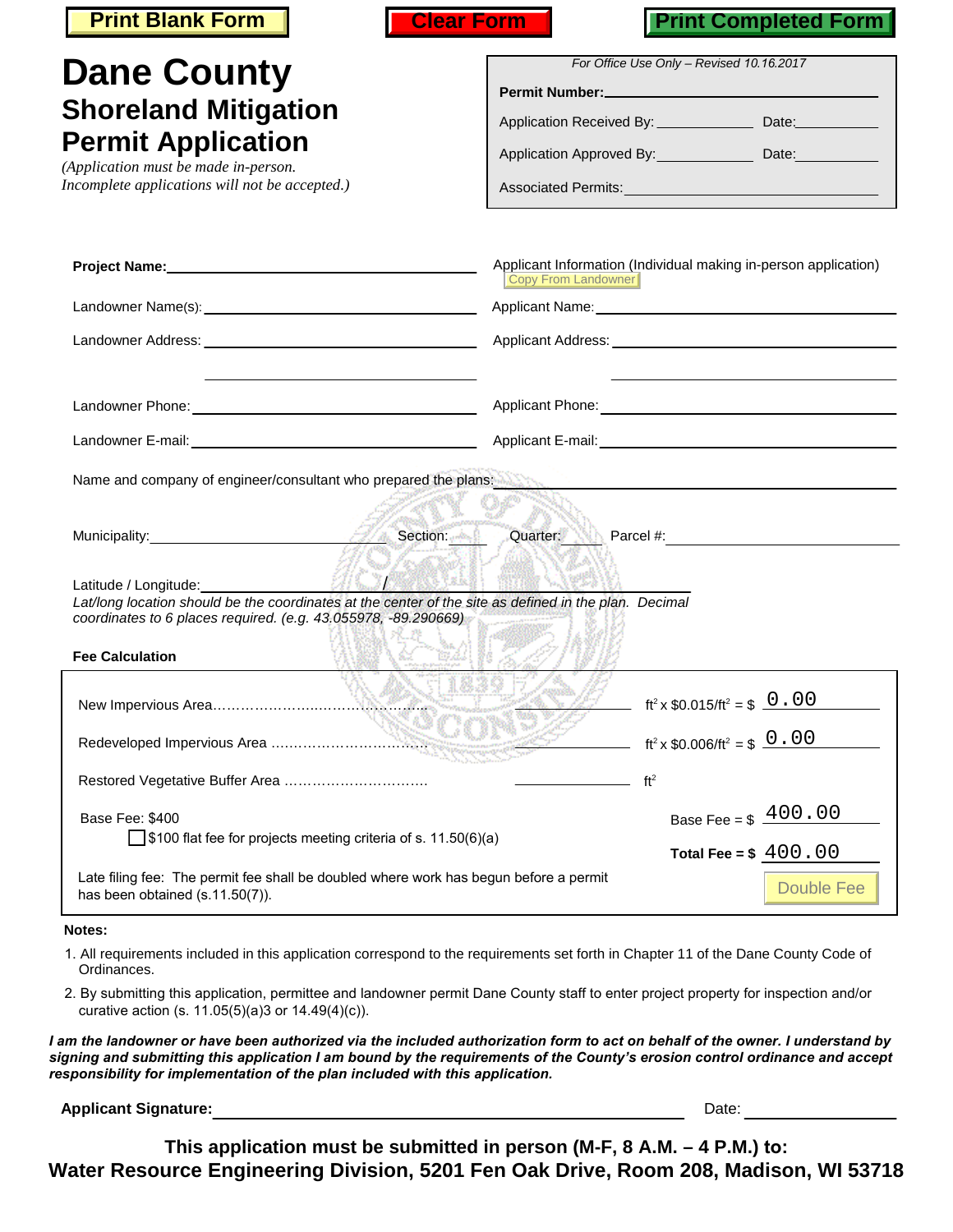| <b>Print Blank Form</b>                                                                                                                                                                                                                    | <b>Print Completed Form</b><br><b>Clear Form</b>                                                                                              |
|--------------------------------------------------------------------------------------------------------------------------------------------------------------------------------------------------------------------------------------------|-----------------------------------------------------------------------------------------------------------------------------------------------|
| <b>Dane County</b>                                                                                                                                                                                                                         | For Office Use Only - Revised 10.16.2017                                                                                                      |
| <b>Shoreland Mitigation</b>                                                                                                                                                                                                                | Application Received By: ________________ Date:___________                                                                                    |
| <b>Permit Application</b>                                                                                                                                                                                                                  | Application Approved By: Date: Date:                                                                                                          |
| (Application must be made in-person.<br>Incomplete applications will not be accepted.)                                                                                                                                                     |                                                                                                                                               |
|                                                                                                                                                                                                                                            | Applicant Information (Individual making in-person application)<br>Copy From Landowner                                                        |
|                                                                                                                                                                                                                                            |                                                                                                                                               |
|                                                                                                                                                                                                                                            |                                                                                                                                               |
|                                                                                                                                                                                                                                            |                                                                                                                                               |
|                                                                                                                                                                                                                                            |                                                                                                                                               |
| Latitude / Longitude: Manual Manual Manual Manual Manual Manual<br>Lat/long location should be the coordinates at the center of the site as defined in the plan. Decimal<br>coordinates to 6 places required. (e.g. 43.055978, -89.290669) | Municipality: $\begin{array}{c c c c c c c c c} \hline \text{{{\bf N}} & \text{Section:} & \text{Quarter:} & \text{Parcel $\#$.} \end{array}$ |
| <b>Fee Calculation</b>                                                                                                                                                                                                                     |                                                                                                                                               |
|                                                                                                                                                                                                                                            | $\text{ft}^2 \times \$0.015/\text{ft}^2 = \$ \_0 \_0 \_0$                                                                                     |
|                                                                                                                                                                                                                                            | ft <sup>2</sup> x \$0.006/ft <sup>2</sup> = \$ $0.00$                                                                                         |
| Restored Vegetative Buffer Area                                                                                                                                                                                                            | ft <sup>2</sup>                                                                                                                               |
| Base Fee: \$400<br>$\frac{1}{2}$ \$100 flat fee for projects meeting criteria of s. 11.50(6)(a)                                                                                                                                            | Base Fee = $$400.00$                                                                                                                          |
| Late filing fee: The permit fee shall be doubled where work has begun before a permit<br>has been obtained (s.11.50(7)).                                                                                                                   | Total Fee = $$400.00$<br><b>Double Fee</b>                                                                                                    |
| Notes:                                                                                                                                                                                                                                     |                                                                                                                                               |
| Ordinances.                                                                                                                                                                                                                                | 1. All requirements included in this application correspond to the requirements set forth in Chapter 11 of the Dane County Code of            |

2. By submitting this application, permittee and landowner permit Dane County staff to enter project property for inspection and/or curative action (s. 11.05(5)(a)3 or 14.49(4)(c)).

*I am the landowner or have been authorized via the included authorization form to act on behalf of the owner. I understand by signing and submitting this application I am bound by the requirements of the County's erosion control ordinance and accept responsibility for implementation of the plan included with this application.* 

**Applicant Signature:** Date:

**This application must be submitted in person (M-F, 8 A.M. – 4 P.M.) to: Water Resource Engineering Division, 5201 Fen Oak Drive, Room 208, Madison, WI 53718**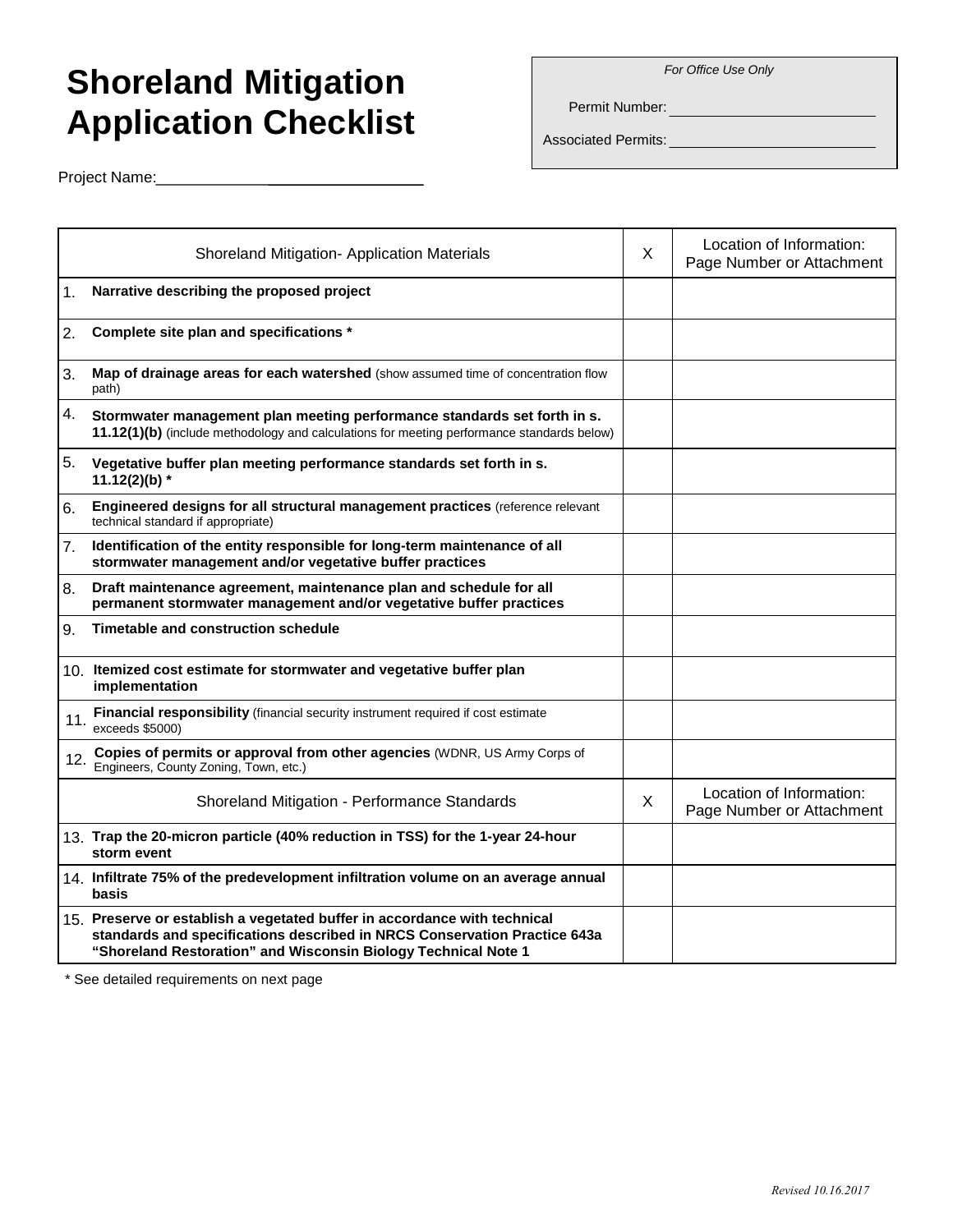## *For Office Use Only*

## **Shoreland Mitigation Application Checklist**

Permit Number:

Associated Permits:

Project Name:

|     | <b>Shoreland Mitigation- Application Materials</b>                                                                                                                                                                       | X | Location of Information:<br>Page Number or Attachment |
|-----|--------------------------------------------------------------------------------------------------------------------------------------------------------------------------------------------------------------------------|---|-------------------------------------------------------|
| 1.  | Narrative describing the proposed project                                                                                                                                                                                |   |                                                       |
| 2.  | Complete site plan and specifications *                                                                                                                                                                                  |   |                                                       |
| 3.  | Map of drainage areas for each watershed (show assumed time of concentration flow<br>path)                                                                                                                               |   |                                                       |
| 4.  | Stormwater management plan meeting performance standards set forth in s.<br>11.12(1)(b) (include methodology and calculations for meeting performance standards below)                                                   |   |                                                       |
| 5.  | Vegetative buffer plan meeting performance standards set forth in s.<br>11.12(2)(b) $*$                                                                                                                                  |   |                                                       |
| 6.  | Engineered designs for all structural management practices (reference relevant<br>technical standard if appropriate)                                                                                                     |   |                                                       |
| 7.  | Identification of the entity responsible for long-term maintenance of all<br>stormwater management and/or vegetative buffer practices                                                                                    |   |                                                       |
| 8.  | Draft maintenance agreement, maintenance plan and schedule for all<br>permanent stormwater management and/or vegetative buffer practices                                                                                 |   |                                                       |
| 9.  | Timetable and construction schedule                                                                                                                                                                                      |   |                                                       |
|     | 10. Itemized cost estimate for stormwater and vegetative buffer plan<br>implementation                                                                                                                                   |   |                                                       |
| 11. | Financial responsibility (financial security instrument required if cost estimate<br>exceeds \$5000)                                                                                                                     |   |                                                       |
| 12. | Copies of permits or approval from other agencies (WDNR, US Army Corps of<br>Engineers, County Zoning, Town, etc.)                                                                                                       |   |                                                       |
|     | Shoreland Mitigation - Performance Standards                                                                                                                                                                             | X | Location of Information:<br>Page Number or Attachment |
|     | 13. Trap the 20-micron particle (40% reduction in TSS) for the 1-year 24-hour<br>storm event                                                                                                                             |   |                                                       |
|     | 14. Infiltrate 75% of the predevelopment infiltration volume on an average annual<br>basis                                                                                                                               |   |                                                       |
|     | 15. Preserve or establish a vegetated buffer in accordance with technical<br>standards and specifications described in NRCS Conservation Practice 643a<br>"Shoreland Restoration" and Wisconsin Biology Technical Note 1 |   |                                                       |

\* See detailed requirements on next page